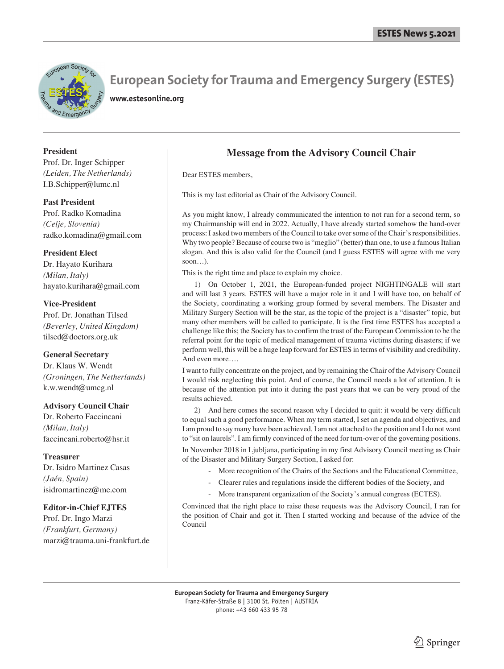

# **European Society for Trauma and Emergency Surgery (ESTES)**

**www.estesonline.org**

## **President**

Prof. Dr. Inger Schipper *(Leiden, The Netherlands)* I.B.Schipper@lumc.nl

**Past President** Prof. Radko Komadina *(Celje, Slovenia)* radko.komadina@gmail.com

# **President Elect**

Dr. Hayato Kurihara *(Milan, Italy)* hayato.kurihara@gmail.com

## **Vice-President**

Prof. Dr. Jonathan Tilsed *(Beverley, United Kingdom)* tilsed@doctors.org.uk

### **General Secretary**

Dr. Klaus W. Wendt *(Groningen, The Netherlands)* k.w.wendt@umcg.nl

### **Advisory Council Chair**

Dr. Roberto Faccincani *(Milan, Italy)* faccincani.roberto@hsr.it

**Treasurer** Dr. Isidro Martinez Casas *(Jaén, Spain)* isidromartinez@me.com

# **Editor-in-Chief EJTES**

Prof. Dr. Ingo Marzi *(Frankfurt, Germany)* marzi@trauma.uni-frankfurt.de

# **Message from the Advisory Council Chair**

Dear ESTES members,

This is my last editorial as Chair of the Advisory Council.

As you might know, I already communicated the intention to not run for a second term, so my Chairmanship will end in 2022. Actually, I have already started somehow the hand-over process: I asked two members of the Council to take over some of the Chair's responsibilities. Why two people? Because of course two is "meglio" (better) than one, to use a famous Italian slogan. And this is also valid for the Council (and I guess ESTES will agree with me very soon…).

This is the right time and place to explain my choice.

1) On October 1, 2021, the European-funded project NIGHTINGALE will start and will last 3 years. ESTES will have a major role in it and I will have too, on behalf of the Society, coordinating a working group formed by several members. The Disaster and Military Surgery Section will be the star, as the topic of the project is a "disaster" topic, but many other members will be called to participate. It is the first time ESTES has accepted a challenge like this; the Society has to confirm the trust of the European Commission to be the referral point for the topic of medical management of trauma victims during disasters; if we perform well, this will be a huge leap forward for ESTES in terms of visibility and credibility. And even more….

I want to fully concentrate on the project, and by remaining the Chair of the Advisory Council I would risk neglecting this point. And of course, the Council needs a lot of attention. It is because of the attention put into it during the past years that we can be very proud of the results achieved.

2) And here comes the second reason why I decided to quit: it would be very difficult to equal such a good performance. When my term started, I set an agenda and objectives, and I am proud to say many have been achieved. I am not attached to the position and I do not want to "sit on laurels". I am firmly convinced of the need for turn-over of the governing positions.

In November 2018 in Ljubljana, participating in my first Advisory Council meeting as Chair of the Disaster and Military Surgery Section, I asked for:

- More recognition of the Chairs of the Sections and the Educational Committee,
- Clearer rules and regulations inside the different bodies of the Society, and
- More transparent organization of the Society's annual congress (ECTES).

Convinced that the right place to raise these requests was the Advisory Council, I ran for the position of Chair and got it. Then I started working and because of the advice of the Council

**European Society for Trauma and Emergency Surgery** Franz-Käfer-Straße 8 | 3100 St. Pölten | AUSTRIA phone: +43 660 433 95 78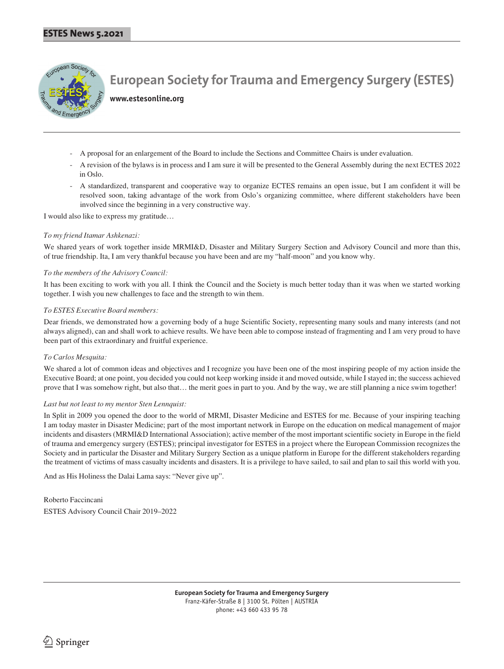

**European Society for Trauma and Emergency Surgery (ESTES)**

**www.estesonline.org**

- A proposal for an enlargement of the Board to include the Sections and Committee Chairs is under evaluation.
- A revision of the bylaws is in process and I am sure it will be presented to the General Assembly during the next ECTES 2022 in Oslo.
- A standardized, transparent and cooperative way to organize ECTES remains an open issue, but I am confident it will be resolved soon, taking advantage of the work from Oslo's organizing committee, where different stakeholders have been involved since the beginning in a very constructive way.

I would also like to express my gratitude…

#### *To my friend Itamar Ashkenazi:*

We shared years of work together inside MRMI&D, Disaster and Military Surgery Section and Advisory Council and more than this, of true friendship. Ita, I am very thankful because you have been and are my "half-moon" and you know why.

#### *To the members of the Advisory Council:*

It has been exciting to work with you all. I think the Council and the Society is much better today than it was when we started working together. I wish you new challenges to face and the strength to win them.

#### *To ESTES Executive Board members:*

Dear friends, we demonstrated how a governing body of a huge Scientific Society, representing many souls and many interests (and not always aligned), can and shall work to achieve results. We have been able to compose instead of fragmenting and I am very proud to have been part of this extraordinary and fruitful experience.

#### *To Carlos Mesquita:*

We shared a lot of common ideas and objectives and I recognize you have been one of the most inspiring people of my action inside the Executive Board; at one point, you decided you could not keep working inside it and moved outside, while I stayed in; the success achieved prove that I was somehow right, but also that… the merit goes in part to you. And by the way, we are still planning a nice swim together!

#### *Last but not least to my mentor Sten Lennquist:*

In Split in 2009 you opened the door to the world of MRMI, Disaster Medicine and ESTES for me. Because of your inspiring teaching I am today master in Disaster Medicine; part of the most important network in Europe on the education on medical management of major incidents and disasters (MRMI&D International Association); active member of the most important scientific society in Europe in the field of trauma and emergency surgery (ESTES); principal investigator for ESTES in a project where the European Commission recognizes the Society and in particular the Disaster and Military Surgery Section as a unique platform in Europe for the different stakeholders regarding the treatment of victims of mass casualty incidents and disasters. It is a privilege to have sailed, to sail and plan to sail this world with you.

And as His Holiness the Dalai Lama says: "Never give up".

Roberto Faccincani ESTES Advisory Council Chair 2019–2022